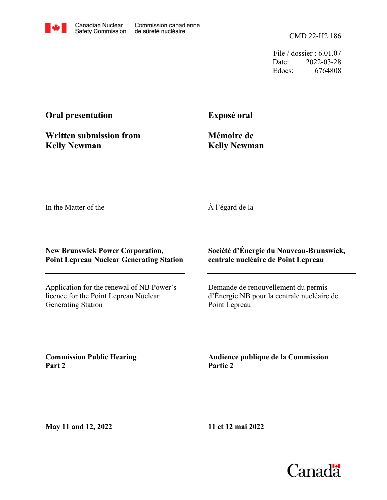CMD 22-H2.186

File / dossier : 6.01.07 Date: 2022-03-28 Edocs: 6764808

## **Oral presentation**

**Exposé oral**

**Written submission from Kelly Newman**

**Mémoire de Kelly Newman**

In the Matter of the

À l'égard de la

## **New Brunswick Power Corporation, Point Lepreau Nuclear Generating Station**

Application for the renewal of NB Power's licence for the Point Lepreau Nuclear Generating Station

**Société d'Énergie du Nouveau-Brunswick, centrale nucléaire de Point Lepreau**

Demande de renouvellement du permis d'Énergie NB pour la centrale nucléaire de Point Lepreau

**Commission Public Hearing Part 2**

**Audience publique de la Commission Partie 2**

**May 11 and 12, 2022**

**11 et 12 mai 2022**